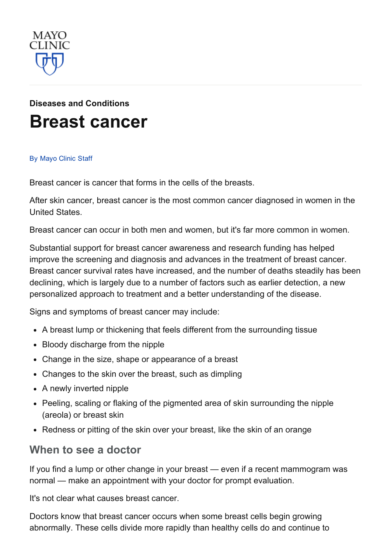

# Diseases and [Conditions](http://www.mayoclinic.org/diseases-conditions) Breast [cancer](http://www.mayoclinic.org/diseases-conditions/breast-cancer/basics/definition/con-20029275)

#### By [Mayo](http://www.mayoclinic.org/about-this-site/welcome) Clinic Staff

Breast cancer is cancer that forms in the cells of the breasts.

After skin cancer, breast cancer is the most common cancer diagnosed in women in the United States.

Breast cancer can occur in both men and women, but it's far more common in women.

Substantial support for breast cancer awareness and research funding has helped improve the screening and diagnosis and advances in the treatment of breast cancer. Breast cancer survival rates have increased, and the number of deaths steadily has been declining, which is largely due to a number of factors such as earlier detection, a new personalized approach to treatment and a better understanding of the disease.

Signs and symptoms of breast cancer may include:

- A breast lump or thickening that feels different from the surrounding tissue
- Bloody discharge from the nipple
- Change in the size, shape or appearance of a breast
- Changes to the skin over the breast, such as dimpling
- A newly inverted nipple
- Peeling, scaling or flaking of the pigmented area of skin surrounding the nipple (areola) or breast skin
- Redness or pitting of the skin over your breast, like the skin of an orange

#### When to see a doctor

If you find a lump or other change in your breast — even if a recent mammogram was normal — make an appointment with your doctor for prompt evaluation.

It's not clear what causes breast cancer.

Doctors know that breast cancer occurs when some breast cells begin growing abnormally. These cells divide more rapidly than healthy cells do and continue to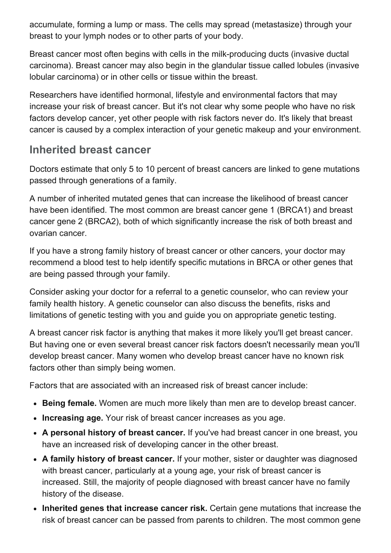accumulate, forming a lump or mass. The cells may spread (metastasize) through your breast to your lymph nodes or to other parts of your body.

Breast cancer most often begins with cells in the milk-producing ducts (invasive ductal carcinoma). Breast cancer may also begin in the glandular tissue called lobules (invasive lobular carcinoma) or in other cells or tissue within the breast.

Researchers have identified hormonal, lifestyle and environmental factors that may increase your risk of breast cancer. But it's not clear why some people who have no risk factors develop cancer, yet other people with risk factors never do. It's likely that breast cancer is caused by a complex interaction of your genetic makeup and your environment.

#### Inherited breast cancer

Doctors estimate that only 5 to 10 percent of breast cancers are linked to gene mutations passed through generations of a family.

A number of inherited mutated genes that can increase the likelihood of breast cancer have been identified. The most common are breast cancer gene 1 (BRCA1) and breast cancer gene 2 (BRCA2), both of which significantly increase the risk of both breast and ovarian cancer.

If you have a strong family history of breast cancer or other cancers, your doctor may recommend a blood test to help identify specific mutations in BRCA or other genes that are being passed through your family.

Consider asking your doctor for a referral to a genetic counselor, who can review your family health history. A genetic counselor can also discuss the benefits, risks and limitations of genetic testing with you and guide you on appropriate genetic testing.

A breast cancer risk factor is anything that makes it more likely you'll get breast cancer. But having one or even several breast cancer risk factors doesn't necessarily mean you'll develop breast cancer. Many women who develop breast cancer have no known risk factors other than simply being women.

Factors that are associated with an increased risk of breast cancer include:

- Being female. Women are much more likely than men are to develop breast cancer.
- Increasing age. Your risk of breast cancer increases as you age.
- A personal history of breast cancer. If you've had breast cancer in one breast, you have an increased risk of developing cancer in the other breast.
- A family history of breast cancer. If your mother, sister or daughter was diagnosed with breast cancer, particularly at a young age, your risk of breast cancer is increased. Still, the majority of people diagnosed with breast cancer have no family history of the disease.
- Inherited genes that increase cancer risk. Certain gene mutations that increase the risk of breast cancer can be passed from parents to children. The most common gene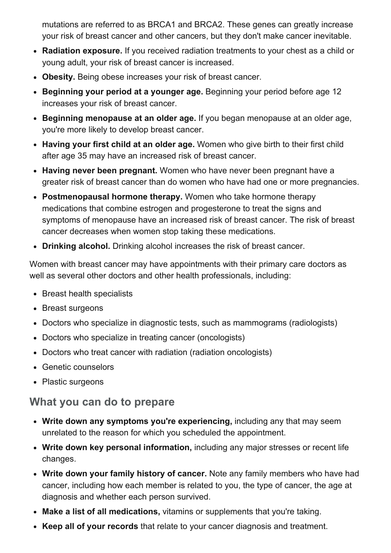mutations are referred to as BRCA1 and BRCA2. These genes can greatly increase your risk of breast cancer and other cancers, but they don't make cancer inevitable.

- Radiation exposure. If you received radiation treatments to your chest as a child or young adult, your risk of breast cancer is increased.
- Obesity. Being obese increases your risk of breast cancer.
- Beginning your period at a younger age. Beginning your period before age 12 increases your risk of breast cancer.
- Beginning menopause at an older age. If you began menopause at an older age, you're more likely to develop breast cancer.
- Having your first child at an older age. Women who give birth to their first child after age 35 may have an increased risk of breast cancer.
- Having never been pregnant. Women who have never been pregnant have a greater risk of breast cancer than do women who have had one or more pregnancies.
- Postmenopausal hormone therapy. Women who take hormone therapy medications that combine estrogen and progesterone to treat the signs and symptoms of menopause have an increased risk of breast cancer. The risk of breast cancer decreases when women stop taking these medications.
- Drinking alcohol. Drinking alcohol increases the risk of breast cancer.

Women with breast cancer may have appointments with their primary care doctors as well as several other doctors and other health professionals, including:

- Breast health specialists
- Breast surgeons
- Doctors who specialize in diagnostic tests, such as mammograms (radiologists)
- Doctors who specialize in treating cancer (oncologists)
- Doctors who treat cancer with radiation (radiation oncologists)
- Genetic counselors
- Plastic surgeons

#### What you can do to prepare

- Write down any symptoms you're experiencing, including any that may seem unrelated to the reason for which you scheduled the appointment.
- Write down key personal information, including any major stresses or recent life changes.
- Write down your family history of cancer. Note any family members who have had cancer, including how each member is related to you, the type of cancer, the age at diagnosis and whether each person survived.
- Make a list of all medications, vitamins or supplements that you're taking.
- Keep all of your records that relate to your cancer diagnosis and treatment.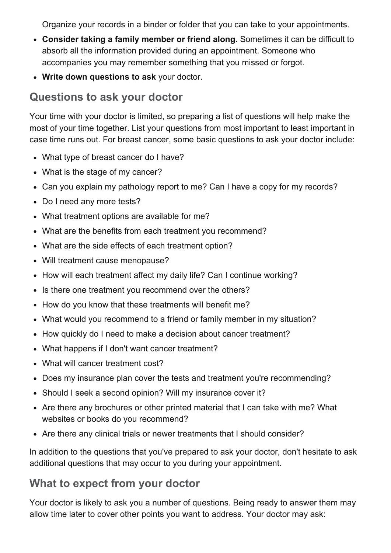Organize your records in a binder or folder that you can take to your appointments.

- Consider taking a family member or friend along. Sometimes it can be difficult to absorb all the information provided during an appointment. Someone who accompanies you may remember something that you missed or forgot.
- Write down questions to ask your doctor.

## Questions to ask your doctor

Your time with your doctor is limited, so preparing a list of questions will help make the most of your time together. List your questions from most important to least important in case time runs out. For breast cancer, some basic questions to ask your doctor include:

- What type of breast cancer do I have?
- What is the stage of my cancer?
- Can you explain my pathology report to me? Can I have a copy for my records?
- Do I need any more tests?
- What treatment options are available for me?
- What are the benefits from each treatment you recommend?
- What are the side effects of each treatment option?
- Will treatment cause menopause?
- How will each treatment affect my daily life? Can I continue working?
- Is there one treatment you recommend over the others?
- How do you know that these treatments will benefit me?
- What would you recommend to a friend or family member in my situation?
- How quickly do I need to make a decision about cancer treatment?
- What happens if I don't want cancer treatment?
- What will cancer treatment cost?
- Does my insurance plan cover the tests and treatment you're recommending?
- Should I seek a second opinion? Will my insurance cover it?
- Are there any brochures or other printed material that I can take with me? What websites or books do you recommend?
- Are there any clinical trials or newer treatments that I should consider?

In addition to the questions that you've prepared to ask your doctor, don't hesitate to ask additional questions that may occur to you during your appointment.

## What to expect from your doctor

Your doctor is likely to ask you a number of questions. Being ready to answer them may allow time later to cover other points you want to address. Your doctor may ask: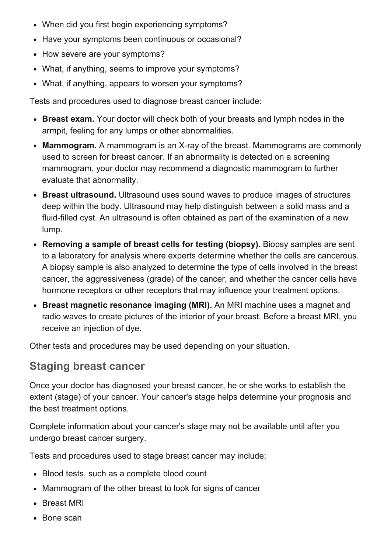- When did you first begin experiencing symptoms?
- Have your symptoms been continuous or occasional?
- How severe are your symptoms?
- What, if anything, seems to improve your symptoms?
- What, if anything, appears to worsen your symptoms?

Tests and procedures used to diagnose breast cancer include:

- Breast exam. Your doctor will check both of your breasts and lymph nodes in the armpit, feeling for any lumps or other abnormalities.
- Mammogram. A mammogram is an X-ray of the breast. Mammograms are commonly used to screen for breast cancer. If an abnormality is detected on a screening mammogram, your doctor may recommend a diagnostic mammogram to further evaluate that abnormality.
- Breast ultrasound. Ultrasound uses sound waves to produce images of structures deep within the body. Ultrasound may help distinguish between a solid mass and a fluid-filled cyst. An ultrasound is often obtained as part of the examination of a new lump.
- Removing a sample of breast cells for testing (biopsy). Biopsy samples are sent to a laboratory for analysis where experts determine whether the cells are cancerous. A biopsy sample is also analyzed to determine the type of cells involved in the breast cancer, the aggressiveness (grade) of the cancer, and whether the cancer cells have hormone receptors or other receptors that may influence your treatment options.
- Breast magnetic resonance imaging (MRI). An MRI machine uses a magnet and radio waves to create pictures of the interior of your breast. Before a breast MRI, you receive an injection of dye.

Other tests and procedures may be used depending on your situation.

## Staging breast cancer

Once your doctor has diagnosed your breast cancer, he or she works to establish the extent (stage) of your cancer. Your cancer's stage helps determine your prognosis and the best treatment options.

Complete information about your cancer's stage may not be available until after you undergo breast cancer surgery.

Tests and procedures used to stage breast cancer may include:

- Blood tests, such as a complete blood count
- Mammogram of the other breast to look for signs of cancer
- Breast MRI
- Bone scan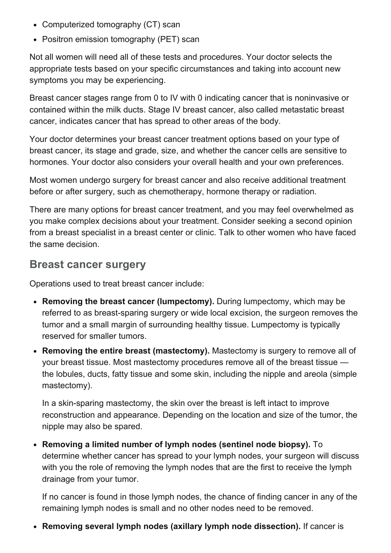- Computerized tomography (CT) scan
- Positron emission tomography (PET) scan

Not all women will need all of these tests and procedures. Your doctor selects the appropriate tests based on your specific circumstances and taking into account new symptoms you may be experiencing.

Breast cancer stages range from 0 to IV with 0 indicating cancer that is noninvasive or contained within the milk ducts. Stage IV breast cancer, also called metastatic breast cancer, indicates cancer that has spread to other areas of the body.

Your doctor determines your breast cancer treatment options based on your type of breast cancer, its stage and grade, size, and whether the cancer cells are sensitive to hormones. Your doctor also considers your overall health and your own preferences.

Most women undergo surgery for breast cancer and also receive additional treatment before or after surgery, such as chemotherapy, hormone therapy or radiation.

There are many options for breast cancer treatment, and you may feel overwhelmed as you make complex decisions about your treatment. Consider seeking a second opinion from a breast specialist in a breast center or clinic. Talk to other women who have faced the same decision.

#### Breast cancer surgery

Operations used to treat breast cancer include:

- Removing the breast cancer (lumpectomy). During lumpectomy, which may be referred to as breast-sparing surgery or wide local excision, the surgeon removes the tumor and a small margin of surrounding healthy tissue. Lumpectomy is typically reserved for smaller tumors.
- Removing the entire breast (mastectomy). Mastectomy is surgery to remove all of your breast tissue. Most mastectomy procedures remove all of the breast tissue the lobules, ducts, fatty tissue and some skin, including the nipple and areola (simple mastectomy).

In a skin-sparing mastectomy, the skin over the breast is left intact to improve reconstruction and appearance. Depending on the location and size of the tumor, the nipple may also be spared.

Removing a limited number of lymph nodes (sentinel node biopsy). To determine whether cancer has spread to your lymph nodes, your surgeon will discuss with you the role of removing the lymph nodes that are the first to receive the lymph drainage from your tumor.

If no cancer is found in those lymph nodes, the chance of finding cancer in any of the remaining lymph nodes is small and no other nodes need to be removed.

• Removing several lymph nodes (axillary lymph node dissection). If cancer is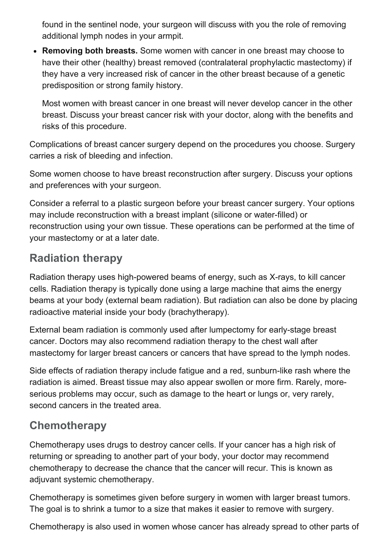found in the sentinel node, your surgeon will discuss with you the role of removing additional lymph nodes in your armpit.

• Removing both breasts. Some women with cancer in one breast may choose to have their other (healthy) breast removed (contralateral prophylactic mastectomy) if they have a very increased risk of cancer in the other breast because of a genetic predisposition or strong family history.

Most women with breast cancer in one breast will never develop cancer in the other breast. Discuss your breast cancer risk with your doctor, along with the benefits and risks of this procedure.

Complications of breast cancer surgery depend on the procedures you choose. Surgery carries a risk of bleeding and infection.

Some women choose to have breast reconstruction after surgery. Discuss your options and preferences with your surgeon.

Consider a referral to a plastic surgeon before your breast cancer surgery. Your options may include reconstruction with a breast implant (silicone or water-filled) or reconstruction using your own tissue. These operations can be performed at the time of your mastectomy or at a later date.

## Radiation therapy

Radiation therapy uses high-powered beams of energy, such as X-rays, to kill cancer cells. Radiation therapy is typically done using a large machine that aims the energy beams at your body (external beam radiation). But radiation can also be done by placing radioactive material inside your body (brachytherapy).

External beam radiation is commonly used after lumpectomy for early-stage breast cancer. Doctors may also recommend radiation therapy to the chest wall after mastectomy for larger breast cancers or cancers that have spread to the lymph nodes.

Side effects of radiation therapy include fatigue and a red, sunburn-like rash where the radiation is aimed. Breast tissue may also appear swollen or more firm. Rarely, moreserious problems may occur, such as damage to the heart or lungs or, very rarely, second cancers in the treated area.

## **Chemotherapy**

Chemotherapy uses drugs to destroy cancer cells. If your cancer has a high risk of returning or spreading to another part of your body, your doctor may recommend chemotherapy to decrease the chance that the cancer will recur. This is known as adjuvant systemic chemotherapy.

Chemotherapy is sometimes given before surgery in women with larger breast tumors. The goal is to shrink a tumor to a size that makes it easier to remove with surgery.

Chemotherapy is also used in women whose cancer has already spread to other parts of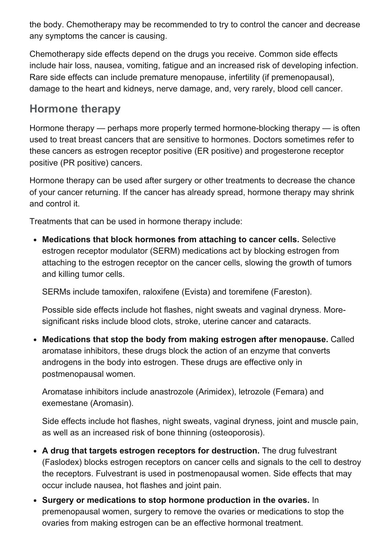the body. Chemotherapy may be recommended to try to control the cancer and decrease any symptoms the cancer is causing.

Chemotherapy side effects depend on the drugs you receive. Common side effects include hair loss, nausea, vomiting, fatigue and an increased risk of developing infection. Rare side effects can include premature menopause, infertility (if premenopausal), damage to the heart and kidneys, nerve damage, and, very rarely, blood cell cancer.

## Hormone therapy

Hormone therapy  $-$  perhaps more properly termed hormone-blocking therapy  $-$  is often used to treat breast cancers that are sensitive to hormones. Doctors sometimes refer to these cancers as estrogen receptor positive (ER positive) and progesterone receptor positive (PR positive) cancers.

Hormone therapy can be used after surgery or other treatments to decrease the chance of your cancer returning. If the cancer has already spread, hormone therapy may shrink and control it.

Treatments that can be used in hormone therapy include:

Medications that block hormones from attaching to cancer cells. Selective estrogen receptor modulator (SERM) medications act by blocking estrogen from attaching to the estrogen receptor on the cancer cells, slowing the growth of tumors and killing tumor cells.

SERMs include tamoxifen, raloxifene (Evista) and toremifene (Fareston).

Possible side effects include hot flashes, night sweats and vaginal dryness. Moresignificant risks include blood clots, stroke, uterine cancer and cataracts.

Medications that stop the body from making estrogen after menopause. Called aromatase inhibitors, these drugs block the action of an enzyme that converts androgens in the body into estrogen. These drugs are effective only in postmenopausal women.

Aromatase inhibitors include anastrozole (Arimidex), letrozole (Femara) and exemestane (Aromasin).

Side effects include hot flashes, night sweats, vaginal dryness, joint and muscle pain, as well as an increased risk of bone thinning (osteoporosis).

- A drug that targets estrogen receptors for destruction. The drug fulvestrant (Faslodex) blocks estrogen receptors on cancer cells and signals to the cell to destroy the receptors. Fulvestrant is used in postmenopausal women. Side effects that may occur include nausea, hot flashes and joint pain.
- Surgery or medications to stop hormone production in the ovaries. In premenopausal women, surgery to remove the ovaries or medications to stop the ovaries from making estrogen can be an effective hormonal treatment.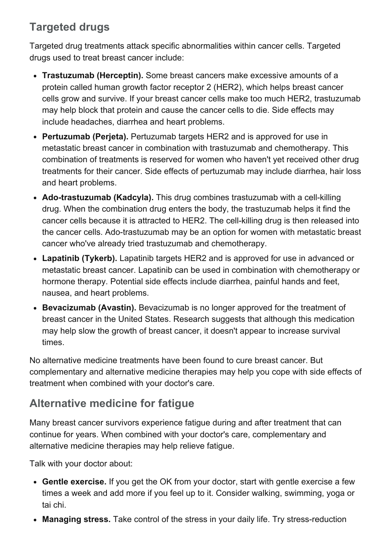## Targeted drugs

Targeted drug treatments attack specific abnormalities within cancer cells. Targeted drugs used to treat breast cancer include:

- Trastuzumab (Herceptin). Some breast cancers make excessive amounts of a protein called human growth factor receptor 2 (HER2), which helps breast cancer cells grow and survive. If your breast cancer cells make too much HER2, trastuzumab may help block that protein and cause the cancer cells to die. Side effects may include headaches, diarrhea and heart problems.
- Pertuzumab (Perieta). Pertuzumab targets HER2 and is approved for use in metastatic breast cancer in combination with trastuzumab and chemotherapy. This combination of treatments is reserved for women who haven't yet received other drug treatments for their cancer. Side effects of pertuzumab may include diarrhea, hair loss and heart problems.
- Ado-trastuzumab (Kadcyla). This drug combines trastuzumab with a cell-killing drug. When the combination drug enters the body, the trastuzumab helps it find the cancer cells because it is attracted to HER2. The cell-killing drug is then released into the cancer cells. Ado-trastuzumab may be an option for women with metastatic breast cancer who've already tried trastuzumab and chemotherapy.
- Lapatinib (Tykerb). Lapatinib targets HER2 and is approved for use in advanced or metastatic breast cancer. Lapatinib can be used in combination with chemotherapy or hormone therapy. Potential side effects include diarrhea, painful hands and feet, nausea, and heart problems.
- Bevacizumab (Avastin). Bevacizumab is no longer approved for the treatment of breast cancer in the United States. Research suggests that although this medication may help slow the growth of breast cancer, it doesn't appear to increase survival times.

No alternative medicine treatments have been found to cure breast cancer. But complementary and alternative medicine therapies may help you cope with side effects of treatment when combined with your doctor's care.

## Alternative medicine for fatigue

Many breast cancer survivors experience fatigue during and after treatment that can continue for years. When combined with your doctor's care, complementary and alternative medicine therapies may help relieve fatigue.

Talk with your doctor about:

- Gentle exercise. If you get the OK from your doctor, start with gentle exercise a few times a week and add more if you feel up to it. Consider walking, swimming, yoga or tai chi.
- Managing stress. Take control of the stress in your daily life. Try stress-reduction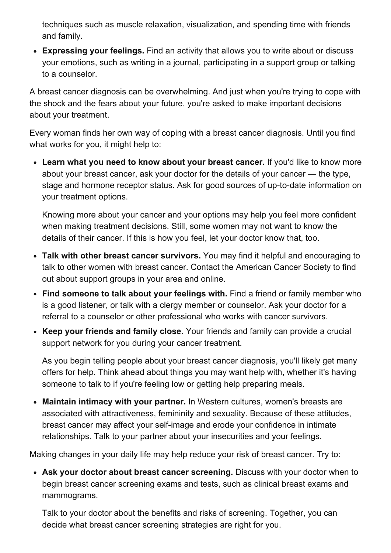techniques such as muscle relaxation, visualization, and spending time with friends and family.

Expressing your feelings. Find an activity that allows you to write about or discuss your emotions, such as writing in a journal, participating in a support group or talking to a counselor.

A breast cancer diagnosis can be overwhelming. And just when you're trying to cope with the shock and the fears about your future, you're asked to make important decisions about your treatment.

Every woman finds her own way of coping with a breast cancer diagnosis. Until you find what works for you, it might help to:

• Learn what you need to know about your breast cancer. If you'd like to know more about your breast cancer, ask your doctor for the details of your cancer — the type, stage and hormone receptor status. Ask for good sources of up-to-date information on your treatment options.

Knowing more about your cancer and your options may help you feel more confident when making treatment decisions. Still, some women may not want to know the details of their cancer. If this is how you feel, let your doctor know that, too.

- Talk with other breast cancer survivors. You may find it helpful and encouraging to talk to other women with breast cancer. Contact the American Cancer Society to find out about support groups in your area and online.
- Find someone to talk about your feelings with. Find a friend or family member who is a good listener, or talk with a clergy member or counselor. Ask your doctor for a referral to a counselor or other professional who works with cancer survivors.
- Keep your friends and family close. Your friends and family can provide a crucial support network for you during your cancer treatment.

As you begin telling people about your breast cancer diagnosis, you'll likely get many offers for help. Think ahead about things you may want help with, whether it's having someone to talk to if you're feeling low or getting help preparing meals.

• Maintain intimacy with your partner. In Western cultures, women's breasts are associated with attractiveness, femininity and sexuality. Because of these attitudes, breast cancer may affect your self-image and erode your confidence in intimate relationships. Talk to your partner about your insecurities and your feelings.

Making changes in your daily life may help reduce your risk of breast cancer. Try to:

Ask your doctor about breast cancer screening. Discuss with your doctor when to begin breast cancer screening exams and tests, such as clinical breast exams and mammograms.

Talk to your doctor about the benefits and risks of screening. Together, you can decide what breast cancer screening strategies are right for you.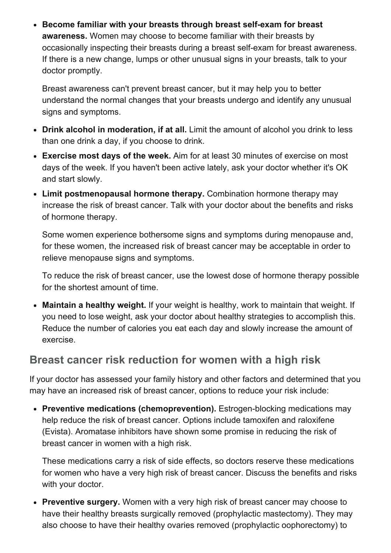• Become familiar with your breasts through breast self-exam for breast awareness. Women may choose to become familiar with their breasts by occasionally inspecting their breasts during a breast self-exam for breast awareness. If there is a new change, lumps or other unusual signs in your breasts, talk to your doctor promptly.

Breast awareness can't prevent breast cancer, but it may help you to better understand the normal changes that your breasts undergo and identify any unusual signs and symptoms.

- Drink alcohol in moderation, if at all. Limit the amount of alcohol you drink to less than one drink a day, if you choose to drink.
- Exercise most days of the week. Aim for at least 30 minutes of exercise on most days of the week. If you haven't been active lately, ask your doctor whether it's OK and start slowly.
- Limit postmenopausal hormone therapy. Combination hormone therapy may increase the risk of breast cancer. Talk with your doctor about the benefits and risks of hormone therapy.

Some women experience bothersome signs and symptoms during menopause and, for these women, the increased risk of breast cancer may be acceptable in order to relieve menopause signs and symptoms.

To reduce the risk of breast cancer, use the lowest dose of hormone therapy possible for the shortest amount of time.

• Maintain a healthy weight. If your weight is healthy, work to maintain that weight. If you need to lose weight, ask your doctor about healthy strategies to accomplish this. Reduce the number of calories you eat each day and slowly increase the amount of exercise.

## Breast cancer risk reduction for women with a high risk

If your doctor has assessed your family history and other factors and determined that you may have an increased risk of breast cancer, options to reduce your risk include:

• Preventive medications (chemoprevention). Estrogen-blocking medications may help reduce the risk of breast cancer. Options include tamoxifen and raloxifene (Evista). Aromatase inhibitors have shown some promise in reducing the risk of breast cancer in women with a high risk.

These medications carry a risk of side effects, so doctors reserve these medications for women who have a very high risk of breast cancer. Discuss the benefits and risks with your doctor.

• Preventive surgery. Women with a very high risk of breast cancer may choose to have their healthy breasts surgically removed (prophylactic mastectomy). They may also choose to have their healthy ovaries removed (prophylactic oophorectomy) to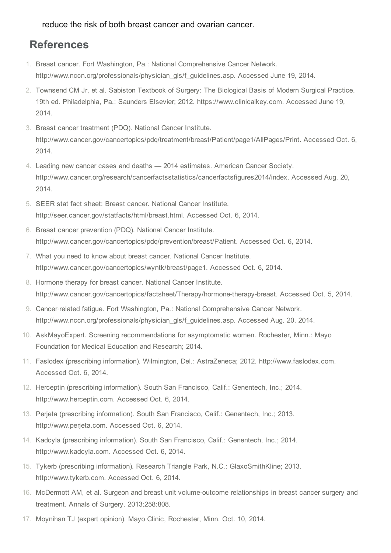reduce the risk of both breast cancer and ovarian cancer.

#### References

- 1. Breast cancer. Fort Washington, Pa.: National Comprehensive Cancer Network. http://www.nccn.org/professionals/physician\_gls/f\_guidelines.asp. Accessed June 19, 2014.
- 2. Townsend CM Jr, et al. Sabiston Textbook of Surgery: The Biological Basis of Modern Surgical Practice. 19th ed. Philadelphia, Pa.: Saunders Elsevier; 2012. https://www.clinicalkey.com. Accessed June 19, 2014.
- 3. Breast cancer treatment (PDQ). National Cancer Institute. http://www.cancer.gov/cancertopics/pdq/treatment/breast/Patient/page1/AllPages/Print. Accessed Oct. 6, 2014.
- 4. Leading new cancer cases and deaths 2014 estimates. American Cancer Society. http://www.cancer.org/research/cancerfactsstatistics/cancerfactsfigures2014/index. Accessed Aug. 20, 2014.
- 5. SEER stat fact sheet: Breast cancer. National Cancer Institute. http://seer.cancer.gov/statfacts/html/breast.html. Accessed Oct. 6, 2014.
- 6. Breast cancer prevention (PDQ). National Cancer Institute. http://www.cancer.gov/cancertopics/pdq/prevention/breast/Patient. Accessed Oct. 6, 2014.
- 7. What you need to know about breast cancer. National Cancer Institute. http://www.cancer.gov/cancertopics/wyntk/breast/page1. Accessed Oct. 6, 2014.
- 8. Hormone therapy for breast cancer. National Cancer Institute. http://www.cancer.gov/cancertopics/factsheet/Therapy/hormone-therapy-breast. Accessed Oct. 5, 2014.
- 9. Cancer-related fatigue. Fort Washington, Pa.: National Comprehensive Cancer Network. http://www.nccn.org/professionals/physician\_gls/f\_guidelines.asp. Accessed Aug. 20, 2014.
- 10. AskMayoExpert. Screening recommendations for asymptomatic women. Rochester, Minn.: Mayo Foundation for Medical Education and Research; 2014.
- 11. Faslodex (prescribing information). Wilmington, Del.: AstraZeneca; 2012. http://www.faslodex.com. Accessed Oct. 6, 2014.
- 12. Herceptin (prescribing information). South San Francisco, Calif.: Genentech, Inc.; 2014. http://www.herceptin.com. Accessed Oct. 6, 2014.
- 13. Perjeta (prescribing information). South San Francisco, Calif.: Genentech, Inc.; 2013. http://www.perjeta.com. Accessed Oct. 6, 2014.
- 14. Kadcyla (prescribing information). South San Francisco, Calif.: Genentech, Inc.; 2014. http://www.kadcyla.com. Accessed Oct. 6, 2014.
- 15. Tykerb (prescribing information). Research Triangle Park, N.C.: GlaxoSmithKline; 2013. http://www.tykerb.com. Accessed Oct. 6, 2014.
- 16. McDermott AM, et al. Surgeon and breast unit volume-outcome relationships in breast cancer surgery and treatment. Annals of Surgery. 2013;258:808.
- 17. Moynihan TJ (expert opinion). Mayo Clinic, Rochester, Minn. Oct. 10, 2014.